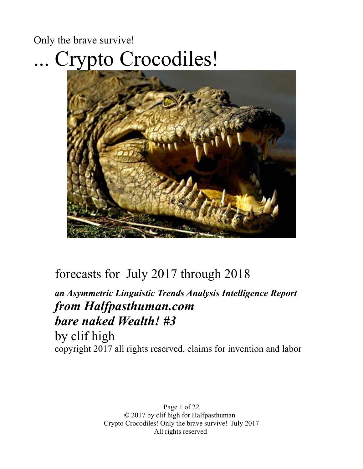# Only the brave survive! ... Crypto Crocodiles!



## forecasts for July 2017 through 2018

## *an Asymmetric Linguistic Trends Analysis Intelligence Report from Halfpasthuman.com bare naked Wealth! #3* by clif high

copyright 2017 all rights reserved, claims for invention and labor

Page 1 of 22 © 2017 by clif high for Halfpasthuman Crypto Crocodiles! Only the brave survive! July 2017 All rights reserved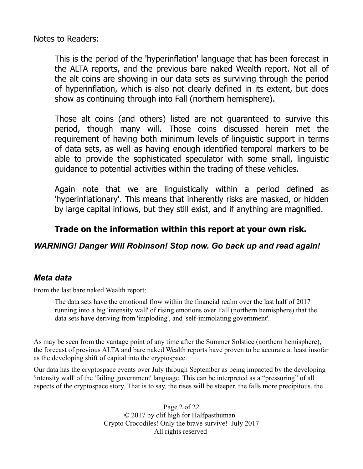Notes to Readers:

This is the period of the 'hyperinflation' language that has been forecast in the ALTA reports, and the previous bare naked Wealth report. Not all of the alt coins are showing in our data sets as surviving through the period of hyperinflation, which is also not clearly defined in its extent, but does show as continuing through into Fall (northern hemisphere).

Those alt coins (and others) listed are not guaranteed to survive this period, though many will. Those coins discussed herein met the requirement of having both minimum levels of linguistic support in terms of data sets, as well as having enough identified temporal markers to be able to provide the sophisticated speculator with some small, linguistic guidance to potential activities within the trading of these vehicles.

Again note that we are linguistically within a period defined as 'hyperinflationary'. This means that inherently risks are masked, or hidden by large capital inflows, but they still exist, and if anything are magnified.

#### **Trade on the information within this report at your own risk.**

#### *WARNING! Danger Will Robinson! Stop now. Go back up and read again!*

#### *Meta data*

From the last bare naked Wealth report:

The data sets have the emotional flow within the financial realm over the last half of 2017 running into a big 'intensity wall' of rising emotions over Fall (northern hemisphere) that the data sets have deriving from 'imploding', and 'self-immolating government'.

As may be seen from the vantage point of any time after the Summer Solstice (northern hemisphere), the forecast of previous ALTA and bare naked Wealth reports have proven to be accurate at least insofar as the developing shift of capital into the cryptospace.

Our data has the cryptospace events over July through September as being impacted by the developing 'intensity wall' of the 'failing government' language. This can be interpreted as a "pressuring" of all aspects of the cryptospace story. That is to say, the rises will be steeper, the falls more precipitous, the

> Page 2 of 22 © 2017 by clif high for Halfpasthuman Crypto Crocodiles! Only the brave survive! July 2017 All rights reserved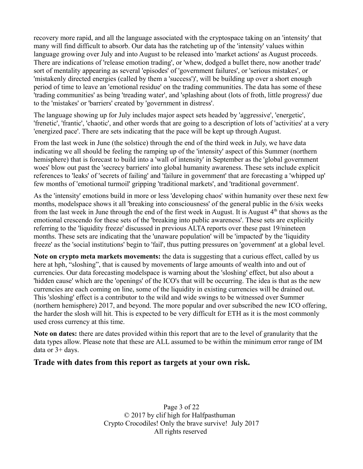recovery more rapid, and all the language associated with the cryptospace taking on an 'intensity' that many will find difficult to absorb. Our data has the ratcheting up of the 'intensity' values within language growing over July and into August to be released into 'market actions' as August proceeds. There are indications of 'release emotion trading', or 'whew, dodged a bullet there, now another trade' sort of mentality appearing as several 'episodes' of 'government failures', or 'serious mistakes', or 'mistakenly directed energies (called by them a 'success')', will be building up over a short enough period of time to leave an 'emotional residue' on the trading communities. The data has some of these 'trading communities' as being 'treading water', and 'splashing about (lots of froth, little progress)' due to the 'mistakes' or 'barriers' created by 'government in distress'.

The language showing up for July includes major aspect sets headed by 'aggressive', 'energetic', 'frenetic', 'frantic', 'chaotic', and other words that are going to a description of lots of 'activities' at a very 'energized pace'. There are sets indicating that the pace will be kept up through August.

From the last week in June (the solstice) through the end of the third week in July, we have data indicating we all should be feeling the ramping up of the 'intensity' aspect of this Summer (northern hemisphere) that is forecast to build into a 'wall of intensity' in September as the 'global government woes' blow out past the 'secrecy barriers' into global humanity awareness. These sets include explicit references to 'leaks' of 'secrets of failing' and 'failure in government' that are forecasting a 'whipped up' few months of 'emotional turmoil' gripping 'traditional markets', and 'traditional government'.

As the 'intensity' emotions build in more or less 'developing chaos' within humanity over these next few months, modelspace shows it all 'breaking into consciousness' of the general public in the 6/six weeks from the last week in June through the end of the first week in August. It is August  $4<sup>th</sup>$  that shows as the emotional crescendo for these sets of the 'breaking into public awareness'. These sets are explicitly referring to the 'liquidity freeze' discussed in previous ALTA reports over these past 19/nineteen months. These sets are indicating that the 'unaware population' will be 'impacted' by the 'liquidity freeze' as the 'social institutions' begin to 'fail', thus putting pressures on 'government' at a global level.

**Note on crypto meta markets movements:** the data is suggesting that a curious effect, called by us here at hph, "sloshing", that is caused by movements of large amounts of wealth into and out of currencies. Our data forecasting modelspace is warning about the 'sloshing' effect, but also about a 'hidden cause' which are the 'openings' of the ICO's that will be occurring. The idea is that as the new currencies are each coming on line, some of the liquidity in existing currencies will be drained out. This 'sloshing' effect is a contributor to the wild and wide swings to be witnessed over Summer (northern hemisphere) 2017, and beyond. The more popular and over subscribed the new ICO offering, the harder the slosh will hit. This is expected to be very difficult for ETH as it is the most commonly used cross currency at this time.

**Note on dates:** there are dates provided within this report that are to the level of granularity that the data types allow. Please note that these are ALL assumed to be within the minimum error range of IM data or 3+ days.

#### **Trade with dates from this report as targets at your own risk.**

Page 3 of 22 © 2017 by clif high for Halfpasthuman Crypto Crocodiles! Only the brave survive! July 2017 All rights reserved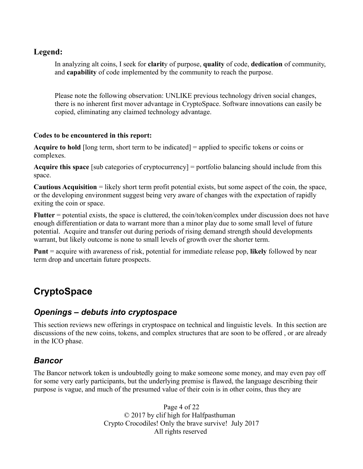#### **Legend:**

In analyzing alt coins, I seek for **clarit**y of purpose, **quality** of code, **dedication** of community, and **capability** of code implemented by the community to reach the purpose.

Please note the following observation: UNLIKE previous technology driven social changes, there is no inherent first mover advantage in CryptoSpace. Software innovations can easily be copied, eliminating any claimed technology advantage.

#### **Codes to be encountered in this report:**

**Acquire to hold** [long term, short term to be indicated] = applied to specific tokens or coins or complexes.

**Acquire this space** [sub categories of cryptocurrency] = portfolio balancing should include from this space.

**Cautious Acquisition** = likely short term profit potential exists, but some aspect of the coin, the space, or the developing environment suggest being very aware of changes with the expectation of rapidly exiting the coin or space.

**Flutter** = potential exists, the space is cluttered, the coin/token/complex under discussion does not have enough differentiation or data to warrant more than a minor play due to some small level of future potential. Acquire and transfer out during periods of rising demand strength should developments warrant, but likely outcome is none to small levels of growth over the shorter term.

**Punt** = acquire with awareness of risk, potential for immediate release pop, **likely** followed by near term drop and uncertain future prospects.

## **CryptoSpace**

## *Openings – debuts into cryptospace*

This section reviews new offerings in cryptospace on technical and linguistic levels. In this section are discussions of the new coins, tokens, and complex structures that are soon to be offered , or are already in the ICO phase.

#### *Bancor*

The Bancor network token is undoubtedly going to make someone some money, and may even pay off for some very early participants, but the underlying premise is flawed, the language describing their purpose is vague, and much of the presumed value of their coin is in other coins, thus they are

> Page 4 of 22 © 2017 by clif high for Halfpasthuman Crypto Crocodiles! Only the brave survive! July 2017 All rights reserved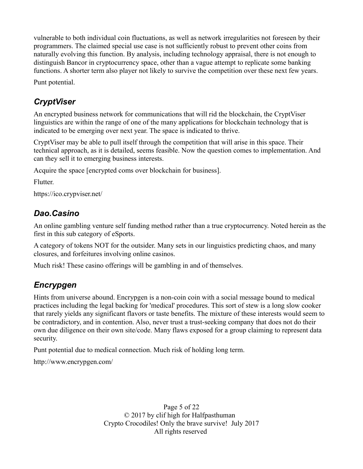vulnerable to both individual coin fluctuations, as well as network irregularities not foreseen by their programmers. The claimed special use case is not sufficiently robust to prevent other coins from naturally evolving this function. By analysis, including technology appraisal, there is not enough to distinguish Bancor in cryptocurrency space, other than a vague attempt to replicate some banking functions. A shorter term also player not likely to survive the competition over these next few years.

Punt potential.

## *CryptViser*

An encrypted business network for communications that will rid the blockchain, the CryptViser linguistics are within the range of one of the many applications for blockchain technology that is indicated to be emerging over next year. The space is indicated to thrive.

CryptViser may be able to pull itself through the competition that will arise in this space. Their technical approach, as it is detailed, seems feasible. Now the question comes to implementation. And can they sell it to emerging business interests.

Acquire the space [encrypted coms over blockchain for business].

Flutter.

https://ico.crypviser.net/

### *Dao.Casino*

An online gambling venture self funding method rather than a true cryptocurrency. Noted herein as the first in this sub category of eSports.

A category of tokens NOT for the outsider. Many sets in our linguistics predicting chaos, and many closures, and forfeitures involving online casinos.

Much risk! These casino offerings will be gambling in and of themselves.

## *Encrypgen*

Hints from universe abound. Encrypgen is a non-coin coin with a social message bound to medical practices including the legal backing for 'medical' procedures. This sort of stew is a long slow cooker that rarely yields any significant flavors or taste benefits. The mixture of these interests would seem to be contradictory, and in contention. Also, never trust a trust-seeking company that does not do their own due diligence on their own site/code. Many flaws exposed for a group claiming to represent data security.

Punt potential due to medical connection. Much risk of holding long term.

http://www.encrypgen.com/

Page 5 of 22 © 2017 by clif high for Halfpasthuman Crypto Crocodiles! Only the brave survive! July 2017 All rights reserved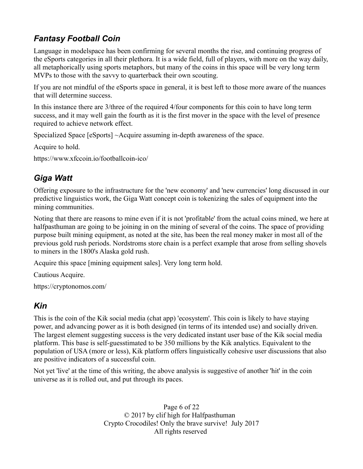## *Fantasy Football Coin*

Language in modelspace has been confirming for several months the rise, and continuing progress of the eSports categories in all their plethora. It is a wide field, full of players, with more on the way daily, all metaphorically using sports metaphors, but many of the coins in this space will be very long term MVPs to those with the savvy to quarterback their own scouting.

If you are not mindful of the eSports space in general, it is best left to those more aware of the nuances that will determine success.

In this instance there are 3/three of the required 4/four components for this coin to have long term success, and it may well gain the fourth as it is the first mover in the space with the level of presence required to achieve network effect.

Specialized Space [eSports] ~Acquire assuming in-depth awareness of the space.

Acquire to hold.

https://www.xfccoin.io/footballcoin-ico/

## *Giga Watt*

Offering exposure to the infrastructure for the 'new economy' and 'new currencies' long discussed in our predictive linguistics work, the Giga Watt concept coin is tokenizing the sales of equipment into the mining communities.

Noting that there are reasons to mine even if it is not 'profitable' from the actual coins mined, we here at halfpasthuman are going to be joining in on the mining of several of the coins. The space of providing purpose built mining equipment, as noted at the site, has been the real money maker in most all of the previous gold rush periods. Nordstroms store chain is a perfect example that arose from selling shovels to miners in the 1800's Alaska gold rush.

Acquire this space [mining equipment sales]. Very long term hold.

Cautious Acquire.

https://cryptonomos.com/

## *Kin*

This is the coin of the Kik social media (chat app) 'ecosystem'. This coin is likely to have staying power, and advancing power as it is both designed (in terms of its intended use) and socially driven. The largest element suggesting success is the very dedicated instant user base of the Kik social media platform. This base is self-guesstimated to be 350 millions by the Kik analytics. Equivalent to the population of USA (more or less), Kik platform offers linguistically cohesive user discussions that also are positive indicators of a successful coin.

Not yet 'live' at the time of this writing, the above analysis is suggestive of another 'hit' in the coin universe as it is rolled out, and put through its paces.

> Page 6 of 22 © 2017 by clif high for Halfpasthuman Crypto Crocodiles! Only the brave survive! July 2017 All rights reserved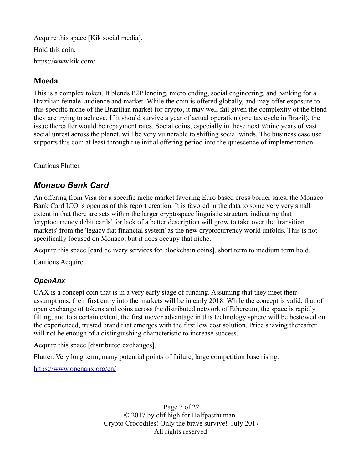Acquire this space [Kik social media]. Hold this coin. https://www.kik.com/

#### **Moeda**

This is a complex token. It blends P2P lending, microlending, social engineering, and banking for a Brazilian female audience and market. While the coin is offered globally, and may offer exposure to this specific niche of the Brazilian market for crypto, it may well fail given the complexity of the blend they are trying to achieve. If it should survive a year of actual operation (one tax cycle in Brazil), the issue thereafter would be repayment rates. Social coins, especially in these next 9/nine years of vast social unrest across the planet, will be very vulnerable to shifting social winds. The business case use supports this coin at least through the initial offering period into the quiescence of implementation.

Cautious Flutter.

### *Monaco Bank Card*

An offering from Visa for a specific niche market favoring Euro based cross border sales, the Monaco Bank Card ICO is open as of this report creation. It is favored in the data to some very very small extent in that there are sets within the larger cryptospace linguistic structure indicating that 'cryptocurrency debit cards' for lack of a better description will grow to take over the 'transition markets' from the 'legacy fiat financial system' as the new cryptocurrency world unfolds. This is not specifically focused on Monaco, but it does occupy that niche.

Acquire this space [card delivery services for blockchain coins], short term to medium term hold.

Cautious Acquire.

#### *OpenAnx*

OAX is a concept coin that is in a very early stage of funding. Assuming that they meet their assumptions, their first entry into the markets will be in early 2018. While the concept is valid, that of open exchange of tokens and coins across the distributed network of Ethereum, the space is rapidly filling, and to a certain extent, the first mover advantage in this technology sphere will be bestowed on the experienced, trusted brand that emerges with the first low cost solution. Price shaving thereafter will not be enough of a distinguishing characteristic to increase success.

Acquire this space [distributed exchanges].

Flutter. Very long term, many potential points of failure, large competition base rising.

<https://www.openanx.org/en/>

Page 7 of 22 © 2017 by clif high for Halfpasthuman Crypto Crocodiles! Only the brave survive! July 2017 All rights reserved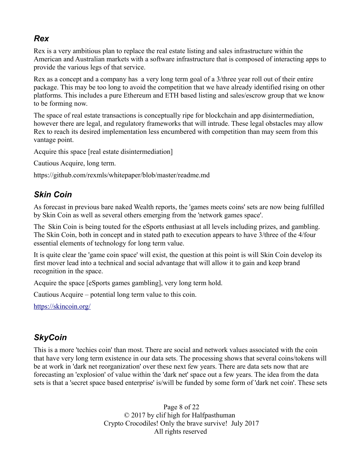### *Rex*

Rex is a very ambitious plan to replace the real estate listing and sales infrastructure within the American and Australian markets with a software infrastructure that is composed of interacting apps to provide the various legs of that service.

Rex as a concept and a company has a very long term goal of a 3/three year roll out of their entire package. This may be too long to avoid the competition that we have already identified rising on other platforms. This includes a pure Ethereum and ETH based listing and sales/escrow group that we know to be forming now.

The space of real estate transactions is conceptually ripe for blockchain and app disintermediation, however there are legal, and regulatory frameworks that will intrude. These legal obstacles may allow Rex to reach its desired implementation less encumbered with competition than may seem from this vantage point.

Acquire this space [real estate disintermediation]

Cautious Acquire, long term.

https://github.com/rexmls/whitepaper/blob/master/readme.md

### *Skin Coin*

As forecast in previous bare naked Wealth reports, the 'games meets coins' sets are now being fulfilled by Skin Coin as well as several others emerging from the 'network games space'.

The Skin Coin is being touted for the eSports enthusiast at all levels including prizes, and gambling. The Skin Coin, both in concept and in stated path to execution appears to have 3/three of the 4/four essential elements of technology for long term value.

It is quite clear the 'game coin space' will exist, the question at this point is will Skin Coin develop its first mover lead into a technical and social advantage that will allow it to gain and keep brand recognition in the space.

Acquire the space [eSports games gambling], very long term hold.

Cautious Acquire – potential long term value to this coin.

<https://skincoin.org/>

#### *SkyCoin*

This is a more 'techies coin' than most. There are social and network values associated with the coin that have very long term existence in our data sets. The processing shows that several coins/tokens will be at work in 'dark net reorganization' over these next few years. There are data sets now that are forecasting an 'explosion' of value within the 'dark net' space out a few years. The idea from the data sets is that a 'secret space based enterprise' is/will be funded by some form of 'dark net coin'. These sets

> Page 8 of 22 © 2017 by clif high for Halfpasthuman Crypto Crocodiles! Only the brave survive! July 2017 All rights reserved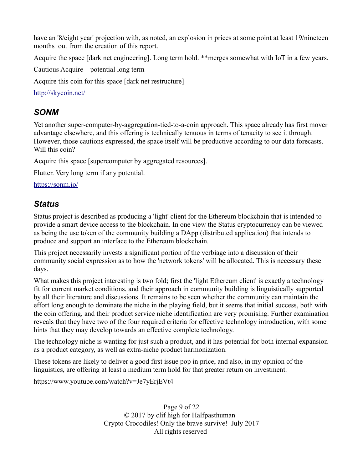have an '8/eight year' projection with, as noted, an explosion in prices at some point at least 19/nineteen months out from the creation of this report.

Acquire the space [dark net engineering]. Long term hold. \*\*merges somewhat with IoT in a few years.

Cautious Acquire – potential long term

Acquire this coin for this space [dark net restructure]

<http://skycoin.net/>

#### *SONM*

Yet another super-computer-by-aggregation-tied-to-a-coin approach. This space already has first mover advantage elsewhere, and this offering is technically tenuous in terms of tenacity to see it through. However, those cautions expressed, the space itself will be productive according to our data forecasts. Will this coin?

Acquire this space [supercomputer by aggregated resources].

Flutter. Very long term if any potential.

<https://sonm.io/>

#### *Status*

Status project is described as producing a 'light' client for the Ethereum blockchain that is intended to provide a smart device access to the blockchain. In one view the Status cryptocurrency can be viewed as being the use token of the community building a DApp (distributed application) that intends to produce and support an interface to the Ethereum blockchain.

This project necessarily invests a significant portion of the verbiage into a discussion of their community social expression as to how the 'network tokens' will be allocated. This is necessary these days.

What makes this project interesting is two fold; first the 'light Ethereum client' is exactly a technology fit for current market conditions, and their approach in community building is linguistically supported by all their literature and discussions. It remains to be seen whether the community can maintain the effort long enough to dominate the niche in the playing field, but it seems that initial success, both with the coin offering, and their product service niche identification are very promising. Further examination reveals that they have two of the four required criteria for effective technology introduction, with some hints that they may develop towards an effective complete technology.

The technology niche is wanting for just such a product, and it has potential for both internal expansion as a product category, as well as extra-niche product harmonization.

These tokens are likely to deliver a good first issue pop in price, and also, in my opinion of the linguistics, are offering at least a medium term hold for that greater return on investment.

https://www.youtube.com/watch?v=Je7yErjEVt4

Page 9 of 22 © 2017 by clif high for Halfpasthuman Crypto Crocodiles! Only the brave survive! July 2017 All rights reserved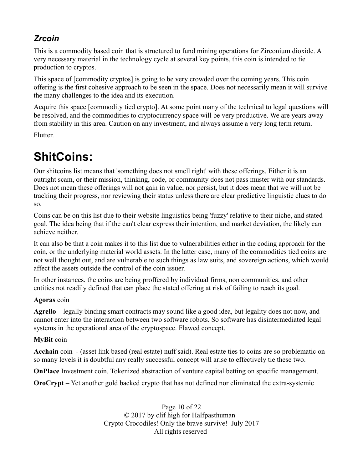## *Zrcoin*

This is a commodity based coin that is structured to fund mining operations for Zirconium dioxide. A very necessary material in the technology cycle at several key points, this coin is intended to tie production to cryptos.

This space of [commodity cryptos] is going to be very crowded over the coming years. This coin offering is the first cohesive approach to be seen in the space. Does not necessarily mean it will survive the many challenges to the idea and its execution.

Acquire this space [commodity tied crypto]. At some point many of the technical to legal questions will be resolved, and the commodities to cryptocurrency space will be very productive. We are years away from stability in this area. Caution on any investment, and always assume a very long term return.

Flutter.

## **ShitCoins:**

Our shitcoins list means that 'something does not smell right' with these offerings. Either it is an outright scam, or their mission, thinking, code, or community does not pass muster with our standards. Does not mean these offerings will not gain in value, nor persist, but it does mean that we will not be tracking their progress, nor reviewing their status unless there are clear predictive linguistic clues to do so.

Coins can be on this list due to their website linguistics being 'fuzzy' relative to their niche, and stated goal. The idea being that if the can't clear express their intention, and market deviation, the likely can achieve neither.

It can also be that a coin makes it to this list due to vulnerabilities either in the coding approach for the coin, or the underlying material world assets. In the latter case, many of the commodities tied coins are not well thought out, and are vulnerable to such things as law suits, and sovereign actions, which would affect the assets outside the control of the coin issuer.

In other instances, the coins are being proffered by individual firms, non communities, and other entities not readily defined that can place the stated offering at risk of failing to reach its goal.

#### **Agoras** coin

**Agrello** – legally binding smart contracts may sound like a good idea, but legality does not now, and cannot enter into the interaction between two software robots. So software has disintermediated legal systems in the operational area of the cryptospace. Flawed concept.

#### **MyBit** coin

**Acchain** coin - (asset link based (real estate) nuff said). Real estate ties to coins are so problematic on so many levels it is doubtful any really successful concept will arise to effectively tie these two.

**OnPlace** Investment coin. Tokenized abstraction of venture capital betting on specific management.

**OroCrypt** – Yet another gold backed crypto that has not defined nor eliminated the extra-systemic

Page 10 of 22 © 2017 by clif high for Halfpasthuman Crypto Crocodiles! Only the brave survive! July 2017 All rights reserved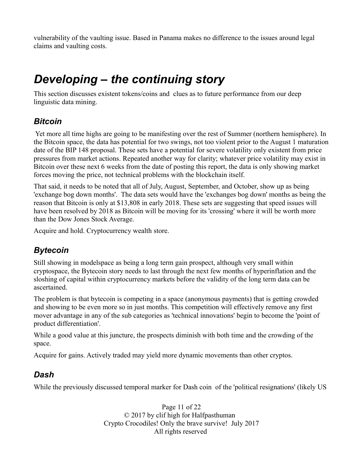vulnerability of the vaulting issue. Based in Panama makes no difference to the issues around legal claims and vaulting costs.

## *Developing – the continuing story*

This section discusses existent tokens/coins and clues as to future performance from our deep linguistic data mining.

### *Bitcoin*

 Yet more all time highs are going to be manifesting over the rest of Summer (northern hemisphere). In the Bitcoin space, the data has potential for two swings, not too violent prior to the August 1 maturation date of the BIP 148 proposal. These sets have a potential for severe volatility only existent from price pressures from market actions. Repeated another way for clarity; whatever price volatility may exist in Bitcoin over these next 6 weeks from the date of posting this report, the data is only showing market forces moving the price, not technical problems with the blockchain itself.

That said, it needs to be noted that all of July, August, September, and October, show up as being 'exchange bog down months'. The data sets would have the 'exchanges bog down' months as being the reason that Bitcoin is only at \$13,808 in early 2018. These sets are suggesting that speed issues will have been resolved by 2018 as Bitcoin will be moving for its 'crossing' where it will be worth more than the Dow Jones Stock Average.

Acquire and hold. Cryptocurrency wealth store.

## *Bytecoin*

Still showing in modelspace as being a long term gain prospect, although very small within cryptospace, the Bytecoin story needs to last through the next few months of hyperinflation and the sloshing of capital within cryptocurrency markets before the validity of the long term data can be ascertained.

The problem is that bytecoin is competing in a space (anonymous payments) that is getting crowded and showing to be even more so in just months. This competition will effectively remove any first mover advantage in any of the sub categories as 'technical innovations' begin to become the 'point of product differentiation'.

While a good value at this juncture, the prospects diminish with both time and the crowding of the space.

Acquire for gains. Actively traded may yield more dynamic movements than other cryptos.

#### *Dash*

While the previously discussed temporal marker for Dash coin of the 'political resignations' (likely US

Page 11 of 22 © 2017 by clif high for Halfpasthuman Crypto Crocodiles! Only the brave survive! July 2017 All rights reserved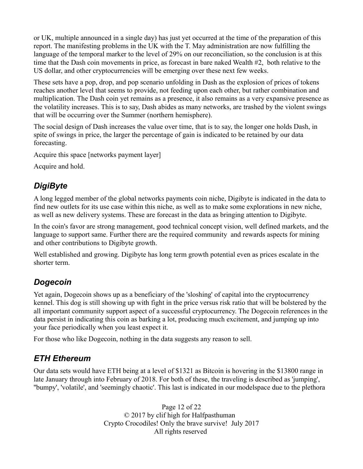or UK, multiple announced in a single day) has just yet occurred at the time of the preparation of this report. The manifesting problems in the UK with the T. May administration are now fulfilling the language of the temporal marker to the level of 29% on our reconciliation, so the conclusion is at this time that the Dash coin movements in price, as forecast in bare naked Wealth #2, both relative to the US dollar, and other cryptocurrencies will be emerging over these next few weeks.

These sets have a pop, drop, and pop scenario unfolding in Dash as the explosion of prices of tokens reaches another level that seems to provide, not feeding upon each other, but rather combination and multiplication. The Dash coin yet remains as a presence, it also remains as a very expansive presence as the volatility increases. This is to say, Dash abides as many networks, are trashed by the violent swings that will be occurring over the Summer (northern hemisphere).

The social design of Dash increases the value over time, that is to say, the longer one holds Dash, in spite of swings in price, the larger the percentage of gain is indicated to be retained by our data forecasting.

Acquire this space [networks payment layer]

Acquire and hold.

## *DigiByte*

A long legged member of the global networks payments coin niche, Digibyte is indicated in the data to find new outlets for its use case within this niche, as well as to make some explorations in new niche, as well as new delivery systems. These are forecast in the data as bringing attention to Digibyte.

In the coin's favor are strong management, good technical concept vision, well defined markets, and the language to support same. Further there are the required community and rewards aspects for mining and other contributions to Digibyte growth.

Well established and growing. Digibyte has long term growth potential even as prices escalate in the shorter term.

#### *Dogecoin*

Yet again, Dogecoin shows up as a beneficiary of the 'sloshing' of capital into the cryptocurrency kennel. This dog is still showing up with fight in the price versus risk ratio that will be bolstered by the all important community support aspect of a successful cryptocurrency. The Dogecoin references in the data persist in indicating this coin as barking a lot, producing much excitement, and jumping up into your face periodically when you least expect it.

For those who like Dogecoin, nothing in the data suggests any reason to sell.

#### *ETH Ethereum*

Our data sets would have ETH being at a level of \$1321 as Bitcoin is hovering in the \$13800 range in late January through into February of 2018. For both of these, the traveling is described as 'jumping', ''bumpy', 'volatile', and 'seemingly chaotic'. This last is indicated in our modelspace due to the plethora

> Page 12 of 22 © 2017 by clif high for Halfpasthuman Crypto Crocodiles! Only the brave survive! July 2017 All rights reserved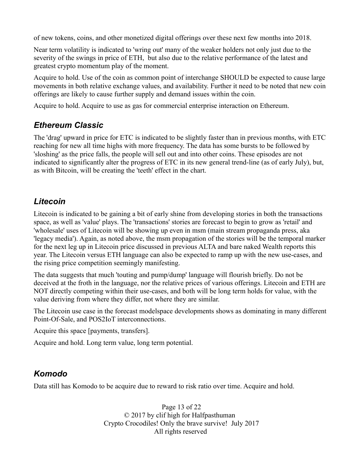of new tokens, coins, and other monetized digital offerings over these next few months into 2018.

Near term volatility is indicated to 'wring out' many of the weaker holders not only just due to the severity of the swings in price of ETH, but also due to the relative performance of the latest and greatest crypto momentum play of the moment.

Acquire to hold. Use of the coin as common point of interchange SHOULD be expected to cause large movements in both relative exchange values, and availability. Further it need to be noted that new coin offerings are likely to cause further supply and demand issues within the coin.

Acquire to hold. Acquire to use as gas for commercial enterprise interaction on Ethereum.

#### *Ethereum Classic*

The 'drag' upward in price for ETC is indicated to be slightly faster than in previous months, with ETC reaching for new all time highs with more frequency. The data has some bursts to be followed by 'sloshing' as the price falls, the people will sell out and into other coins. These episodes are not indicated to significantly alter the progress of ETC in its new general trend-line (as of early July), but, as with Bitcoin, will be creating the 'teeth' effect in the chart.

#### *Litecoin*

Litecoin is indicated to be gaining a bit of early shine from developing stories in both the transactions space, as well as 'value' plays. The 'transactions' stories are forecast to begin to grow as 'retail' and 'wholesale' uses of Litecoin will be showing up even in msm (main stream propaganda press, aka 'legacy media'). Again, as noted above, the msm propagation of the stories will be the temporal marker for the next leg up in Litecoin price discussed in previous ALTA and bare naked Wealth reports this year. The Litecoin versus ETH language can also be expected to ramp up with the new use-cases, and the rising price competition seemingly manifesting.

The data suggests that much 'touting and pump/dump' language will flourish briefly. Do not be deceived at the froth in the language, nor the relative prices of various offerings. Litecoin and ETH are NOT directly competing within their use-cases, and both will be long term holds for value, with the value deriving from where they differ, not where they are similar.

The Litecoin use case in the forecast modelspace developments shows as dominating in many different Point-Of-Sale, and POS2IoT interconnections.

Acquire this space [payments, transfers].

Acquire and hold. Long term value, long term potential.

#### *Komodo*

Data still has Komodo to be acquire due to reward to risk ratio over time. Acquire and hold.

Page 13 of 22 © 2017 by clif high for Halfpasthuman Crypto Crocodiles! Only the brave survive! July 2017 All rights reserved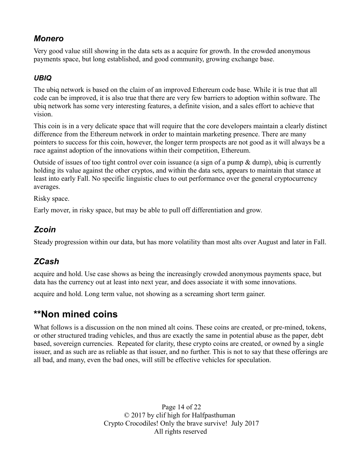#### *Monero*

Very good value still showing in the data sets as a acquire for growth. In the crowded anonymous payments space, but long established, and good community, growing exchange base.

#### *UBIQ*

The ubiq network is based on the claim of an improved Ethereum code base. While it is true that all code can be improved, it is also true that there are very few barriers to adoption within software. The ubiq network has some very interesting features, a definite vision, and a sales effort to achieve that vision.

This coin is in a very delicate space that will require that the core developers maintain a clearly distinct difference from the Ethereum network in order to maintain marketing presence. There are many pointers to success for this coin, however, the longer term prospects are not good as it will always be a race against adoption of the innovations within their competition, Ethereum.

Outside of issues of too tight control over coin issuance (a sign of a pump  $\&$  dump), ubiq is currently holding its value against the other cryptos, and within the data sets, appears to maintain that stance at least into early Fall. No specific linguistic clues to out performance over the general cryptocurrency averages.

Risky space.

Early mover, in risky space, but may be able to pull off differentiation and grow.

#### *Zcoin*

Steady progression within our data, but has more volatility than most alts over August and later in Fall.

## *ZCash*

acquire and hold. Use case shows as being the increasingly crowded anonymous payments space, but data has the currency out at least into next year, and does associate it with some innovations.

acquire and hold. Long term value, not showing as a screaming short term gainer.

## **\*\*Non mined coins**

What follows is a discussion on the non mined alt coins. These coins are created, or pre-mined, tokens, or other structured trading vehicles, and thus are exactly the same in potential abuse as the paper, debt based, sovereign currencies. Repeated for clarity, these crypto coins are created, or owned by a single issuer, and as such are as reliable as that issuer, and no further. This is not to say that these offerings are all bad, and many, even the bad ones, will still be effective vehicles for speculation.

> Page 14 of 22 © 2017 by clif high for Halfpasthuman Crypto Crocodiles! Only the brave survive! July 2017 All rights reserved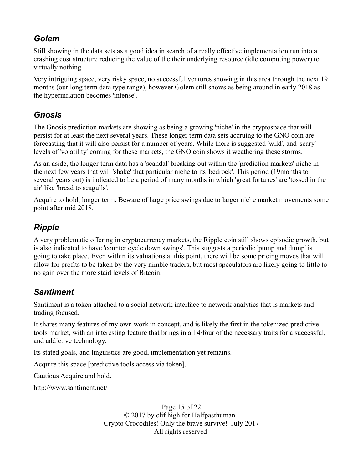### *Golem*

Still showing in the data sets as a good idea in search of a really effective implementation run into a crashing cost structure reducing the value of the their underlying resource (idle computing power) to virtually nothing.

Very intriguing space, very risky space, no successful ventures showing in this area through the next 19 months (our long term data type range), however Golem still shows as being around in early 2018 as the hyperinflation becomes 'intense'.

## *Gnosis*

The Gnosis prediction markets are showing as being a growing 'niche' in the cryptospace that will persist for at least the next several years. These longer term data sets accruing to the GNO coin are forecasting that it will also persist for a number of years. While there is suggested 'wild', and 'scary' levels of 'volatility' coming for these markets, the GNO coin shows it weathering these storms.

As an aside, the longer term data has a 'scandal' breaking out within the 'prediction markets' niche in the next few years that will 'shake' that particular niche to its 'bedrock'. This period (19months to several years out) is indicated to be a period of many months in which 'great fortunes' are 'tossed in the air' like 'bread to seagulls'.

Acquire to hold, longer term. Beware of large price swings due to larger niche market movements some point after mid 2018.

## *Ripple*

A very problematic offering in cryptocurrency markets, the Ripple coin still shows episodic growth, but is also indicated to have 'counter cycle down swings'. This suggests a periodic 'pump and dump' is going to take place. Even within its valuations at this point, there will be some pricing moves that will allow for profits to be taken by the very nimble traders, but most speculators are likely going to little to no gain over the more staid levels of Bitcoin.

## *Santiment*

Santiment is a token attached to a social network interface to network analytics that is markets and trading focused.

It shares many features of my own work in concept, and is likely the first in the tokenized predictive tools market, with an interesting feature that brings in all 4/four of the necessary traits for a successful, and addictive technology.

Its stated goals, and linguistics are good, implementation yet remains.

Acquire this space [predictive tools access via token].

Cautious Acquire and hold.

http://www.santiment.net/

Page 15 of 22 © 2017 by clif high for Halfpasthuman Crypto Crocodiles! Only the brave survive! July 2017 All rights reserved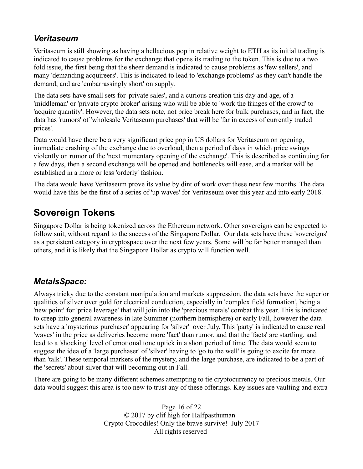#### *Veritaseum*

Veritaseum is still showing as having a hellacious pop in relative weight to ETH as its initial trading is indicated to cause problems for the exchange that opens its trading to the token. This is due to a two fold issue, the first being that the sheer demand is indicated to cause problems as 'few sellers', and many 'demanding acquireers'. This is indicated to lead to 'exchange problems' as they can't handle the demand, and are 'embarrassingly short' on supply.

The data sets have small sets for 'private sales', and a curious creation this day and age, of a 'middleman' or 'private crypto broker' arising who will be able to 'work the fringes of the crowd' to 'acquire quantity'. However, the data sets note, not price break here for bulk purchases, and in fact, the data has 'rumors' of 'wholesale Veritaseum purchases' that will be 'far in excess of currently traded prices'.

Data would have there be a very significant price pop in US dollars for Veritaseum on opening, immediate crashing of the exchange due to overload, then a period of days in which price swings violently on rumor of the 'next momentary opening of the exchange'. This is described as continuing for a few days, then a second exchange will be opened and bottlenecks will ease, and a market will be established in a more or less 'orderly' fashion.

The data would have Veritaseum prove its value by dint of work over these next few months. The data would have this be the first of a series of 'up waves' for Veritaseum over this year and into early 2018.

## **Sovereign Tokens**

Singapore Dollar is being tokenized across the Ethereum network. Other sovereigns can be expected to follow suit, without regard to the success of the Singapore Dollar. Our data sets have these 'sovereigns' as a persistent category in cryptospace over the next few years. Some will be far better managed than others, and it is likely that the Singapore Dollar as crypto will function well.

## *MetalsSpace:*

Always tricky due to the constant manipulation and markets suppression, the data sets have the superior qualities of silver over gold for electrical conduction, especially in 'complex field formation', being a 'new point' for 'price leverage' that will join into the 'precious metals' combat this year. This is indicated to creep into general awareness in late Summer (northern hemisphere) or early Fall, however the data sets have a 'mysterious purchaser' appearing for 'silver' over July. This 'party' is indicated to cause real 'waves' in the price as deliveries become more 'fact' than rumor, and that the 'facts' are startling, and lead to a 'shocking' level of emotional tone uptick in a short period of time. The data would seem to suggest the idea of a 'large purchaser' of 'silver' having to 'go to the well' is going to excite far more than 'talk'. These temporal markers of the mystery, and the large purchase, are indicated to be a part of the 'secrets' about silver that will becoming out in Fall.

There are going to be many different schemes attempting to tie cryptocurrency to precious metals. Our data would suggest this area is too new to trust any of these offerings. Key issues are vaulting and extra

> Page 16 of 22 © 2017 by clif high for Halfpasthuman Crypto Crocodiles! Only the brave survive! July 2017 All rights reserved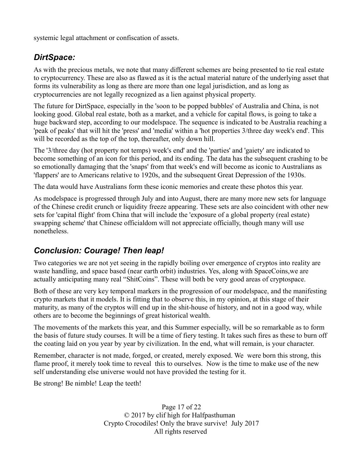systemic legal attachment or confiscation of assets.

#### *DirtSpace:*

As with the precious metals, we note that many different schemes are being presented to tie real estate to cryptocurrency. These are also as flawed as it is the actual material nature of the underlying asset that forms its vulnerability as long as there are more than one legal jurisdiction, and as long as cryptocurrencies are not legally recognized as a lien against physical property.

The future for DirtSpace, especially in the 'soon to be popped bubbles' of Australia and China, is not looking good. Global real estate, both as a market, and a vehicle for capital flows, is going to take a huge backward step, according to our modelspace. The sequence is indicated to be Australia reaching a 'peak of peaks' that will hit the 'press' and 'media' within a 'hot properties 3/three day week's end'. This will be recorded as the top of the top, thereafter, only down hill.

The '3/three day (hot property not temps) week's end' and the 'parties' and 'gaiety' are indicated to become something of an icon for this period, and its ending. The data has the subsequent crashing to be so emotionally damaging that the 'snaps' from that week's end will become as iconic to Australians as 'flappers' are to Americans relative to 1920s, and the subsequent Great Depression of the 1930s.

The data would have Australians form these iconic memories and create these photos this year.

As modelspace is progressed through July and into August, there are many more new sets for language of the Chinese credit crunch or liquidity freeze appearing. These sets are also coincident with other new sets for 'capital flight' from China that will include the 'exposure of a global property (real estate) swapping scheme' that Chinese officialdom will not appreciate officially, though many will use nonetheless.

#### *Conclusion: Courage! Then leap!*

Two categories we are not yet seeing in the rapidly boiling over emergence of cryptos into reality are waste handling, and space based (near earth orbit) industries. Yes, along with SpaceCoins,we are actually anticipating many real "ShitCoins". These will both be very good areas of cryptospace.

Both of these are very key temporal markers in the progression of our modelspace, and the manifesting crypto markets that it models. It is fitting that to observe this, in my opinion, at this stage of their maturity, as many of the cryptos will end up in the shit-house of history, and not in a good way, while others are to become the beginnings of great historical wealth.

The movements of the markets this year, and this Summer especially, will be so remarkable as to form the basis of future study courses. It will be a time of fiery testing. It takes such fires as these to burn off the coating laid on you year by year by civilization. In the end, what will remain, is your character.

Remember, character is not made, forged, or created, merely exposed. We were born this strong, this flame proof, it merely took time to reveal this to ourselves. Now is the time to make use of the new self understanding else universe would not have provided the testing for it.

Be strong! Be nimble! Leap the teeth!

Page 17 of 22 © 2017 by clif high for Halfpasthuman Crypto Crocodiles! Only the brave survive! July 2017 All rights reserved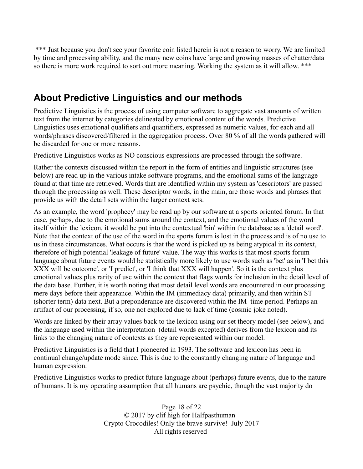\*\*\* Just because you don't see your favorite coin listed herein is not a reason to worry. We are limited by time and processing ability, and the many new coins have large and growing masses of chatter/data so there is more work required to sort out more meaning. Working the system as it will allow. \*\*\*

## **About Predictive Linguistics and our methods**

Predictive Linguistics is the process of using computer software to aggregate vast amounts of written text from the internet by categories delineated by emotional content of the words. Predictive Linguistics uses emotional qualifiers and quantifiers, expressed as numeric values, for each and all words/phrases discovered/filtered in the aggregation process. Over 80 % of all the words gathered will be discarded for one or more reasons.

Predictive Linguistics works as NO conscious expressions are processed through the software.

Rather the contexts discussed within the report in the form of entities and linguistic structures (see below) are read up in the various intake software programs, and the emotional sums of the language found at that time are retrieved. Words that are identified within my system as 'descriptors' are passed through the processing as well. These descriptor words, in the main, are those words and phrases that provide us with the detail sets within the larger context sets.

As an example, the word 'prophecy' may be read up by our software at a sports oriented forum. In that case, perhaps, due to the emotional sums around the context, and the emotional values of the word itself within the lexicon, it would be put into the contextual 'bin' within the database as a 'detail word'. Note that the context of the use of the word in the sports forum is lost in the process and is of no use to us in these circumstances. What occurs is that the word is picked up as being atypical in its context, therefore of high potential 'leakage of future' value. The way this works is that most sports forum language about future events would be statistically more likely to use words such as 'bet' as in 'I bet this XXX will be outcome', or 'I predict', or 'I think that XXX will happen'. So it is the context plus emotional values plus rarity of use within the context that flags words for inclusion in the detail level of the data base. Further, it is worth noting that most detail level words are encountered in our processing mere days before their appearance. Within the IM (immediacy data) primarily, and then within ST (shorter term) data next. But a preponderance are discovered within the IM time period. Perhaps an artifact of our processing, if so, one not explored due to lack of time (cosmic joke noted).

Words are linked by their array values back to the lexicon using our set theory model (see below), and the language used within the interpretation (detail words excepted) derives from the lexicon and its links to the changing nature of contexts as they are represented within our model.

Predictive Linguistics is a field that I pioneered in 1993. The software and lexicon has been in continual change/update mode since. This is due to the constantly changing nature of language and human expression.

Predictive Linguistics works to predict future language about (perhaps) future events, due to the nature of humans. It is my operating assumption that all humans are psychic, though the vast majority do

> Page 18 of 22 © 2017 by clif high for Halfpasthuman Crypto Crocodiles! Only the brave survive! July 2017 All rights reserved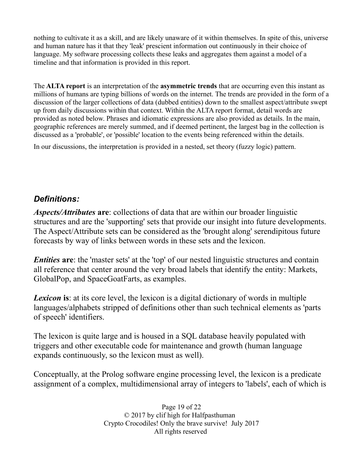nothing to cultivate it as a skill, and are likely unaware of it within themselves. In spite of this, universe and human nature has it that they 'leak' prescient information out continuously in their choice of language. My software processing collects these leaks and aggregates them against a model of a timeline and that information is provided in this report.

The **ALTA report** is an interpretation of the **asymmetric trends** that are occurring even this instant as millions of humans are typing billions of words on the internet. The trends are provided in the form of a discussion of the larger collections of data (dubbed entities) down to the smallest aspect/attribute swept up from daily discussions within that context. Within the ALTA report format, detail words are provided as noted below. Phrases and idiomatic expressions are also provided as details. In the main, geographic references are merely summed, and if deemed pertinent, the largest bag in the collection is discussed as a 'probable', or 'possible' location to the events being referenced within the details.

In our discussions, the interpretation is provided in a nested, set theory (fuzzy logic) pattern.

#### *Definitions:*

*Aspects/Attributes* **are**: collections of data that are within our broader linguistic structures and are the 'supporting' sets that provide our insight into future developments. The Aspect/Attribute sets can be considered as the 'brought along' serendipitous future forecasts by way of links between words in these sets and the lexicon.

*Entities* are: the 'master sets' at the 'top' of our nested linguistic structures and contain all reference that center around the very broad labels that identify the entity: Markets, GlobalPop, and SpaceGoatFarts, as examples.

**Lexicon** is: at its core level, the lexicon is a digital dictionary of words in multiple languages/alphabets stripped of definitions other than such technical elements as 'parts of speech' identifiers.

The lexicon is quite large and is housed in a SQL database heavily populated with triggers and other executable code for maintenance and growth (human language expands continuously, so the lexicon must as well).

Conceptually, at the Prolog software engine processing level, the lexicon is a predicate assignment of a complex, multidimensional array of integers to 'labels', each of which is

> Page 19 of 22 © 2017 by clif high for Halfpasthuman Crypto Crocodiles! Only the brave survive! July 2017 All rights reserved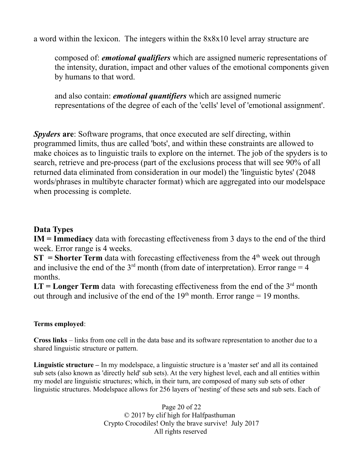a word within the lexicon. The integers within the 8x8x10 level array structure are

composed of: *emotional qualifiers* which are assigned numeric representations of the intensity, duration, impact and other values of the emotional components given by humans to that word.

and also contain: *emotional quantifiers* which are assigned numeric representations of the degree of each of the 'cells' level of 'emotional assignment'.

*Spyders* **are**: Software programs, that once executed are self directing, within programmed limits, thus are called 'bots', and within these constraints are allowed to make choices as to linguistic trails to explore on the internet. The job of the spyders is to search, retrieve and pre-process (part of the exclusions process that will see 90% of all returned data eliminated from consideration in our model) the 'linguistic bytes' (2048 words/phrases in multibyte character format) which are aggregated into our modelspace when processing is complete.

#### **Data Types**

**IM = Immediacy** data with forecasting effectiveness from 3 days to the end of the third week. Error range is 4 weeks.

**ST** = **Shorter Term** data with forecasting effectiveness from the  $4<sup>th</sup>$  week out through and inclusive the end of the  $3<sup>rd</sup>$  month (from date of interpretation). Error range = 4 months.

 $LT = Longer Term data$  with forecasting effectiveness from the end of the  $3<sup>rd</sup>$  month out through and inclusive of the end of the  $19<sup>th</sup>$  month. Error range = 19 months.

#### **Terms employed**:

**Cross links** – links from one cell in the data base and its software representation to another due to a shared linguistic structure or pattern.

**Linguistic structure –** In my modelspace, a linguistic structure is a 'master set' and all its contained sub sets (also known as 'directly held' sub sets). At the very highest level, each and all entities within my model are linguistic structures; which, in their turn, are composed of many sub sets of other linguistic structures. Modelspace allows for 256 layers of 'nesting' of these sets and sub sets. Each of

> Page 20 of 22 © 2017 by clif high for Halfpasthuman Crypto Crocodiles! Only the brave survive! July 2017 All rights reserved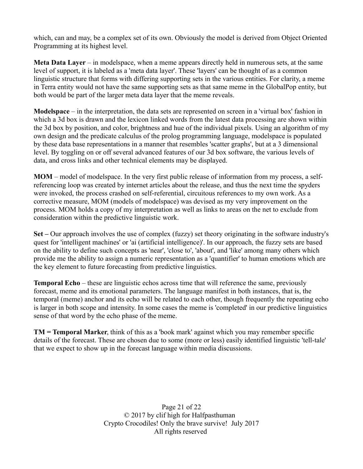which, can and may, be a complex set of its own. Obviously the model is derived from Object Oriented Programming at its highest level.

**Meta Data Layer** – in modelspace, when a meme appears directly held in numerous sets, at the same level of support, it is labeled as a 'meta data layer'. These 'layers' can be thought of as a common linguistic structure that forms with differing supporting sets in the various entities. For clarity, a meme in Terra entity would not have the same supporting sets as that same meme in the GlobalPop entity, but both would be part of the larger meta data layer that the meme reveals.

**Modelspace** – in the interpretation, the data sets are represented on screen in a 'virtual box' fashion in which a 3d box is drawn and the lexicon linked words from the latest data processing are shown within the 3d box by position, and color, brightness and hue of the individual pixels. Using an algorithm of my own design and the predicate calculus of the prolog programming language, modelspace is populated by these data base representations in a manner that resembles 'scatter graphs', but at a 3 dimensional level. By toggling on or off several advanced features of our 3d box software, the various levels of data, and cross links and other technical elements may be displayed.

**MOM** – model of modelspace. In the very first public release of information from my process, a selfreferencing loop was created by internet articles about the release, and thus the next time the spyders were invoked, the process crashed on self-referential, circuitous references to my own work. As a corrective measure, MOM (models of modelspace) was devised as my very improvement on the process. MOM holds a copy of my interpretation as well as links to areas on the net to exclude from consideration within the predictive linguistic work.

**Set –** Our approach involves the use of complex (fuzzy) set theory originating in the software industry's quest for 'intelligent machines' or 'ai (artificial intelligence)'. In our approach, the fuzzy sets are based on the ability to define such concepts as 'near', 'close to', 'about', and 'like' among many others which provide me the ability to assign a numeric representation as a 'quantifier' to human emotions which are the key element to future forecasting from predictive linguistics.

**Temporal Echo** – these are linguistic echos across time that will reference the same, previously forecast, meme and its emotional parameters. The language manifest in both instances, that is, the temporal (meme) anchor and its echo will be related to each other, though frequently the repeating echo is larger in both scope and intensity. In some cases the meme is 'completed' in our predictive linguistics sense of that word by the echo phase of the meme.

**TM = Temporal Marker**, think of this as a 'book mark' against which you may remember specific details of the forecast. These are chosen due to some (more or less) easily identified linguistic 'tell-tale' that we expect to show up in the forecast language within media discussions.

> Page 21 of 22 © 2017 by clif high for Halfpasthuman Crypto Crocodiles! Only the brave survive! July 2017 All rights reserved